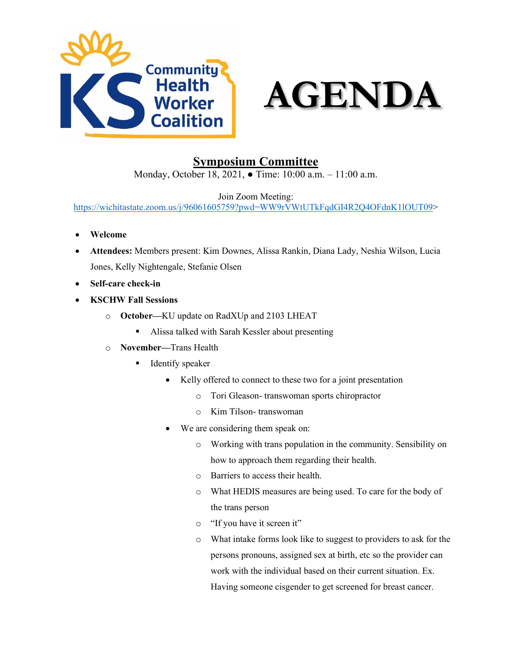



## **Symposium Committee**

Monday, October 18, 2021, ● Time: 10:00 a.m. – 11:00 a.m.

Join Zoom Meeting:

<https://wichitastate.zoom.us/j/96061605759?pwd=WW9rVWtUTkFqdGI4R2Q4OFdnK1lOUT09>>

- **Welcome**
- **Attendees:** Members present: Kim Downes, Alissa Rankin, Diana Lady, Neshia Wilson, Lucia Jones, Kelly Nightengale, Stefanie Olsen
- **Self-care check-in**
- **KSCHW Fall Sessions**
	- o **October—**KU update on RadXUp and 2103 LHEAT
		- Alissa talked with Sarah Kessler about presenting
	- o **November—**Trans Health
		- $\blacksquare$  Identify speaker
			- Kelly offered to connect to these two for a joint presentation
				- o Tori Gleason- transwoman sports chiropractor
				- o Kim Tilson- transwoman
			- We are considering them speak on:
				- o Working with trans population in the community. Sensibility on how to approach them regarding their health.
				- o Barriers to access their health.
				- o What HEDIS measures are being used. To care for the body of the trans person
				- o "If you have it screen it"
				- o What intake forms look like to suggest to providers to ask for the persons pronouns, assigned sex at birth, etc so the provider can work with the individual based on their current situation. Ex. Having someone cisgender to get screened for breast cancer.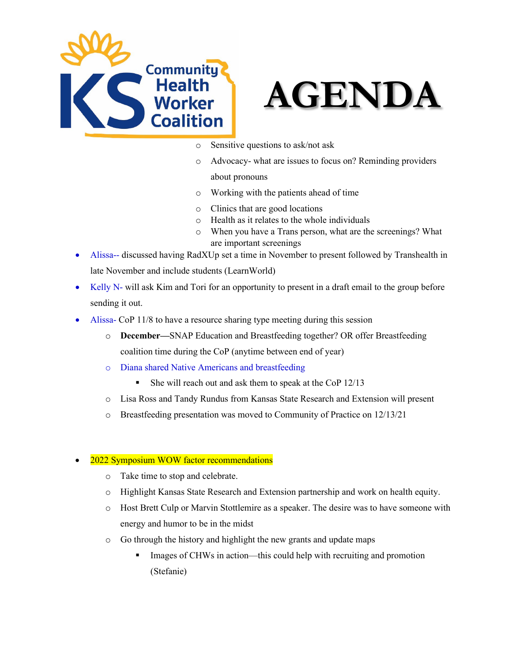



- o Sensitive questions to ask/not ask
- o Advocacy- what are issues to focus on? Reminding providers about pronouns
- o Working with the patients ahead of time
- o Clinics that are good locations
- o Health as it relates to the whole individuals
- o When you have a Trans person, what are the screenings? What are important screenings
- Alissa-- discussed having RadXUp set a time in November to present followed by Transhealth in late November and include students (LearnWorld)
- Kelly N- will ask Kim and Tori for an opportunity to present in a draft email to the group before sending it out.
- Alissa- CoP 11/8 to have a resource sharing type meeting during this session
	- o **December—**SNAP Education and Breastfeeding together? OR offer Breastfeeding coalition time during the CoP (anytime between end of year)
	- o Diana shared Native Americans and breastfeeding
		- She will reach out and ask them to speak at the CoP 12/13
	- o Lisa Ross and Tandy Rundus from Kansas State Research and Extension will present
	- o Breastfeeding presentation was moved to Community of Practice on 12/13/21

## • 2022 Symposium WOW factor recommendations

- o Take time to stop and celebrate.
- o Highlight Kansas State Research and Extension partnership and work on health equity.
- o Host Brett Culp or Marvin Stottlemire as a speaker. The desire was to have someone with energy and humor to be in the midst
- o Go through the history and highlight the new grants and update maps
	- Images of CHWs in action—this could help with recruiting and promotion (Stefanie)